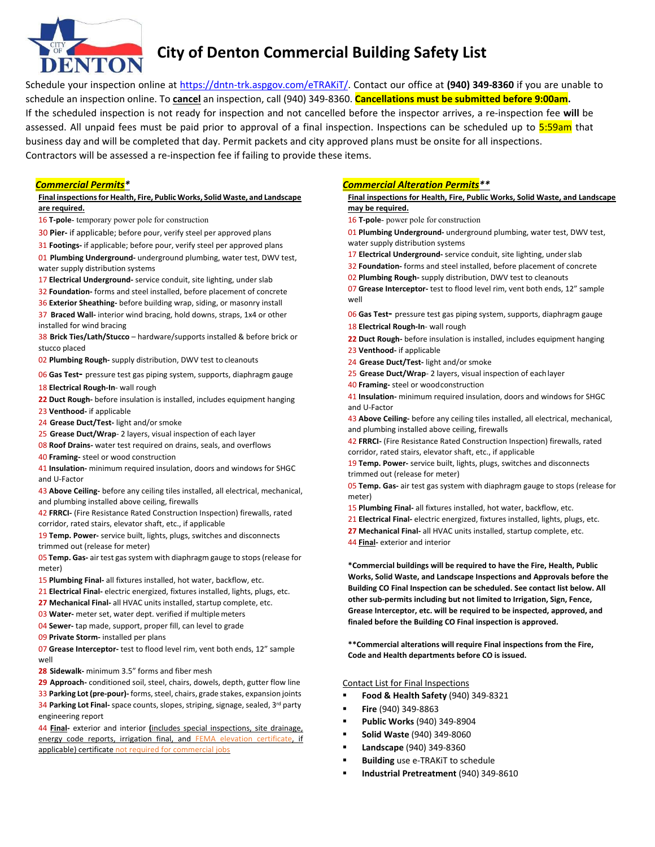

# **City of Denton Commercial Building Safety List**

Schedule your inspection online at https://dntn‐trk.aspgov.com/eTRAKiT/. Contact our office at **(940) 349‐8360** if you are unable to schedule an inspection online. To **cancel** an inspection, call (940) 349‐8360. **Cancellations must be submitted before 9:00am.** If the scheduled inspection is not ready for inspection and not cancelled before the inspector arrives, a re‐inspection fee **will** be assessed. All unpaid fees must be paid prior to approval of a final inspection. Inspections can be scheduled up to  $5:59$ am that business day and will be completed that day. Permit packets and city approved plans must be onsite for all inspections. Contractors will be assessed a re‐inspection fee if failing to provide these items.

## *Commercial Permits\**

#### **Final inspections for Health, Fire, Public Works, Solid Waste, and Landscape are required.**

- 16 **T**-pole- temporary power pole for construction
- 30 **Pier‐** if applicable; before pour, verify steel per approved plans
- 31 **Footings‐** if applicable; before pour, verify steel per approved plans

01 **Plumbing Underground‐** underground plumbing, water test, DWV test, water supply distribution systems

17 **Electrical Underground**- service conduit, site lighting, under slab

32 **Foundation‐** forms and steel installed, before placement of concrete

36 **Exterior Sheathing‐** before building wrap, siding, or masonry install 37 **Braced Wall‐** interior wind bracing, hold downs, straps, 1x4 or other

installed for wind bracing 38 **Brick Ties/Lath/Stucco** – hardware/supports installed & before brick or stucco placed

02 **Plumbing Rough‐** supply distribution, DWV test to cleanouts

06 **Gas Test‐** pressure test gas piping system, supports, diaphragm gauge

18 **Electrical Rough‐In**‐ wall rough

- **22 Duct Rough‐** before insulation is installed, includes equipment hanging 23 **Venthood‐** if applicable
- 24 **Grease Duct/Test‐** light and/or smoke
- 25 Grease Duct/Wrap- 2 layers, visual inspection of each layer
- 08 **Roof Drains‐** water test required on drains, seals, and overflows
- 40 **Framing‐** steel or wood construction

41 **Insulation‐** minimum required insulation, doors and windows for SHGC and U‐Factor

43 **Above Ceiling‐** before any ceiling tiles installed, all electrical, mechanical, and plumbing installed above ceiling, firewalls

42 **FRRCI‐** (Fire Resistance Rated Construction Inspection) firewalls, rated corridor, rated stairs, elevator shaft, etc., if applicable

19 **Temp. Power‐** service built, lights, plugs, switches and disconnects trimmed out (release for meter)

05 **Temp. Gas‐** air test gas system with diaphragm gauge to stops (release for meter)

15 **Plumbing Final‐** all fixtures installed, hot water, backflow, etc.

- 21 **Electrical Final‐** electric energized, fixtures installed, lights, plugs, etc.
- **27 Mechanical Final‐** all HVAC units installed, startup complete, etc.
- 03 **Water‐** meter set, water dept. verified if multiple meters
- 04 **Sewer‐** tap made, support, proper fill, can level to grade

09 **Private Storm‐** installed per plans

07 **Grease Interceptor‐** test to flood level rim, vent both ends, 12" sample well

**28 Sidewalk‐** minimum 3.5" forms and fiber mesh

**29 Approach‐** conditioned soil, steel, chairs, dowels, depth, gutter flow line

33 **Parking Lot (pre‐pour)‐** forms, steel, chairs, grade stakes, expansion joints 34 Parking Lot Final- space counts, slopes, striping, signage, sealed, 3<sup>rd</sup> party engineering report

44 **Final**- exterior and interior *(includes special inspections, site drainage,* energy code reports, irrigation final, and FEMA elevation certificate, if applicable) certificate not required for commercial jobs

## *Commercial Alteration Permits\*\**

#### **Final inspections for Health, Fire, Public Works, Solid Waste, and Landscape may be required.**

16 **T** pole- power pole for construction

01 **Plumbing Underground‐** underground plumbing, water test, DWV test, water supply distribution systems

- 17 **Electrical Underground** service conduit, site lighting, under slab
- 32 **Foundation‐** forms and steel installed, before placement of concrete
- 02 **Plumbing Rough‐** supply distribution, DWV test to cleanouts

07 **Grease Interceptor‐** test to flood level rim, vent both ends, 12" sample well

06 **Gas Test‐** pressure test gas piping system, supports, diaphragm gauge 18 **Electrical Rough‐In**‐ wall rough

**22 Duct Rough‐** before insulation is installed, includes equipment hanging

- 23 **Venthood‐** if applicable
- 24 **Grease Duct/Test‐** light and/or smoke
- 25 **Grease Duct/Wrap**‐ 2 layers, visual inspection of each layer
- **40 Framing**-steel or wood construction

41 **Insulation‐** minimum required insulation, doors and windows for SHGC and U‐Factor

43 **Above Ceiling‐** before any ceiling tiles installed, all electrical, mechanical, and plumbing installed above ceiling, firewalls

42 **FRRCI‐** (Fire Resistance Rated Construction Inspection) firewalls, rated corridor, rated stairs, elevator shaft, etc., if applicable

19 **Temp. Power‐** service built, lights, plugs, switches and disconnects trimmed out (release for meter)

05 **Temp. Gas‐** air test gas system with diaphragm gauge to stops (release for meter)

- 15 **Plumbing Final‐** all fixtures installed, hot water, backflow, etc.
- 21 **Electrical Final‐** electric energized, fixtures installed, lights, plugs, etc.
- **27 Mechanical Final‐** all HVAC units installed, startup complete, etc.
- 44 **Final‐** exterior and interior

**\*Commercial buildings will be required to have the Fire, Health, Public Works, Solid Waste, and Landscape Inspections and Approvals before the Building CO Final Inspection can be scheduled. See contact list below. All other sub‐permits including but not limited to Irrigation, Sign, Fence, Grease Interceptor, etc. will be required to be inspected, approved, and finaled before the Building CO Final inspection is approved.** 

**\*\*Commercial alterations will require Final inspections from the Fire, Code and Health departments before CO is issued.** 

#### Contact List for Final Inspections

- **Food & Health Safety** (940) 349‐8321
- **Fire** (940) 349‐8863
- **Public Works** (940) 349‐8904
- **Solid Waste** (940) 349‐8060
- **Landscape** (940) 349‐8360
- **Building** use e‐TRAKiT to schedule
- **Industrial Pretreatment** (940) 349‐8610